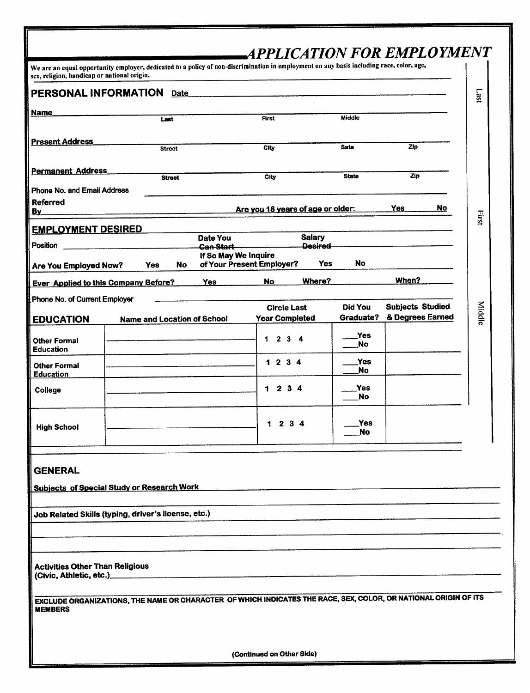| PERSONAL INFORMATION Date                                          | sex, religion, handicap or national origin. |                                    |                                                                                                                 |                      |                                             |
|--------------------------------------------------------------------|---------------------------------------------|------------------------------------|-----------------------------------------------------------------------------------------------------------------|----------------------|---------------------------------------------|
|                                                                    |                                             |                                    |                                                                                                                 |                      |                                             |
| Name                                                               |                                             | Last                               | First                                                                                                           | Middle               |                                             |
| <b>Present Address</b>                                             |                                             |                                    |                                                                                                                 |                      |                                             |
|                                                                    |                                             | <b>Street</b>                      | <b>City</b>                                                                                                     | <b>Sate</b>          | Zip                                         |
| <b>Permanent Address</b>                                           |                                             | <b>Street</b>                      | City                                                                                                            | <b>State</b>         | Zip                                         |
| Phone No. and Email Address                                        |                                             |                                    |                                                                                                                 |                      |                                             |
| <b>Referred</b><br><u>By</u>                                       |                                             |                                    | Are you 18 years of age or older:                                                                               |                      | No<br>Yes                                   |
| <b>EMPLOYMENT DESIRED</b>                                          |                                             |                                    |                                                                                                                 |                      |                                             |
| Position                                                           |                                             | Date You<br>Can Start              | Salary<br>Desired                                                                                               |                      |                                             |
| Are You Employed Now?                                              | Yes                                         | No.                                | If So May We Inquire<br>of Your Present Employer?                                                               | <b>No</b><br>Yes     |                                             |
| <b>Ever Applied to this Company Before?</b>                        |                                             | <b>Yes</b>                         | Where?<br>No                                                                                                    |                      | When?                                       |
| Phone No. of Current Employer                                      |                                             |                                    |                                                                                                                 |                      |                                             |
| <b>EDUCATION</b>                                                   |                                             | <b>Name and Location of School</b> | <b>Circle Last</b><br><b>Year Completed</b>                                                                     | Did You<br>Graduate? | <b>Subjects Studied</b><br>& Degrees Earned |
| <b>Other Formal</b>                                                |                                             |                                    | 1 2 3 4                                                                                                         | Yes                  |                                             |
| <b>Education</b>                                                   |                                             |                                    |                                                                                                                 | No                   |                                             |
| <b>Other Formal</b><br><b>Education</b>                            |                                             |                                    | 1 2 3 4                                                                                                         | Yes<br>No            |                                             |
| College                                                            |                                             |                                    | 1234                                                                                                            | Yes                  |                                             |
|                                                                    |                                             |                                    |                                                                                                                 | <b>No</b>            |                                             |
| <b>High School</b>                                                 |                                             |                                    | 2 3 4<br>1.                                                                                                     | Yes<br><b>No</b>     |                                             |
|                                                                    |                                             |                                    |                                                                                                                 |                      |                                             |
| <b>GENERAL</b>                                                     |                                             |                                    |                                                                                                                 |                      |                                             |
| <b>Subjects of Special Study or Research Work</b>                  |                                             |                                    |                                                                                                                 |                      |                                             |
|                                                                    |                                             |                                    |                                                                                                                 |                      |                                             |
| Job Related Skills (typing, driver's license, etc.)                |                                             |                                    |                                                                                                                 |                      |                                             |
|                                                                    |                                             |                                    |                                                                                                                 |                      |                                             |
|                                                                    |                                             |                                    |                                                                                                                 |                      |                                             |
| <b>Activities Other Than Religious</b><br>(Civic, Athletic, etc.)_ |                                             |                                    |                                                                                                                 |                      |                                             |
|                                                                    |                                             |                                    |                                                                                                                 |                      |                                             |
|                                                                    |                                             |                                    | EXCLUDE ORGANIZATIONS, THE NAME OR CHARACTER OF WHICH INDICATES THE RACE, SEX, COLOR, OR NATIONAL ORIGIN OF ITS |                      |                                             |

(Continued on Other Side)